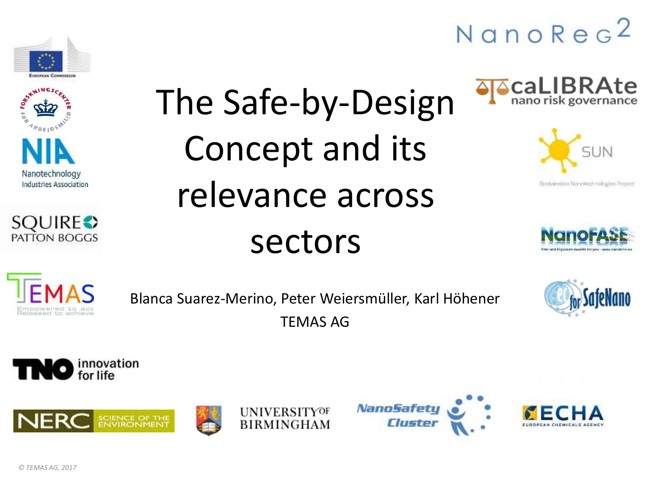





# The Safe-by-Design Concept and its relevance across sectors











Blanca Suarez-Merino, Peter Weiersmüller, Karl Höhener TEMAS AG













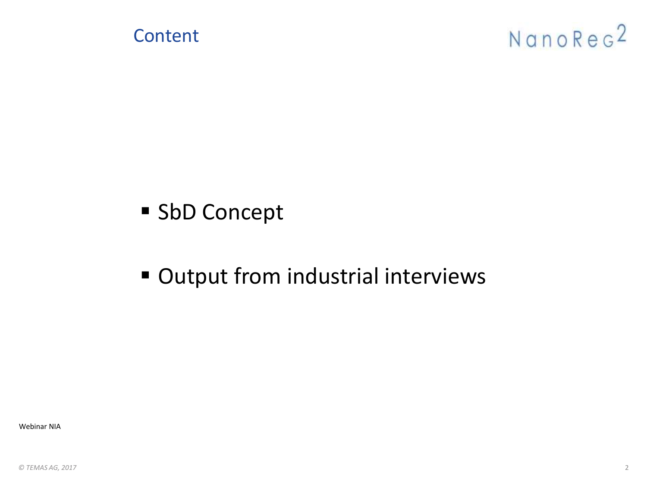

- SbD Concept
- Output from industrial interviews

Webinar NIA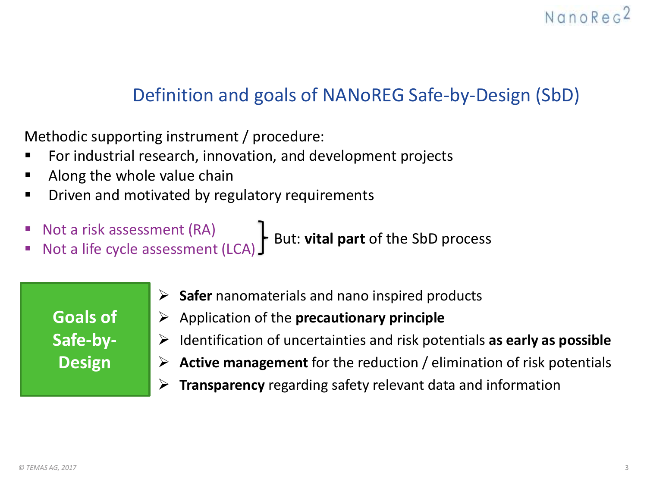### Definition and goals of NANoREG Safe-by-Design (SbD)

Methodic supporting instrument / procedure:

- For industrial research, innovation, and development projects
- Along the whole value chain
- Driven and motivated by regulatory requirements
- Not a risk assessment (RA)

■ Not a lisk assessment (IOC) But: **vital part** of the SbD process<br>■ Not a life cycle assessment (LCA) But: **vital part** of the SbD process

**Goals of Safe-by-Design**

- ➢ **Safer** nanomaterials and nano inspired products
- ➢ Application of the **precautionary principle**
- ➢ Identification of uncertainties and risk potentials **as early as possible**
- ➢ **Active management** for the reduction / elimination of risk potentials
- ➢ **Transparency** regarding safety relevant data and information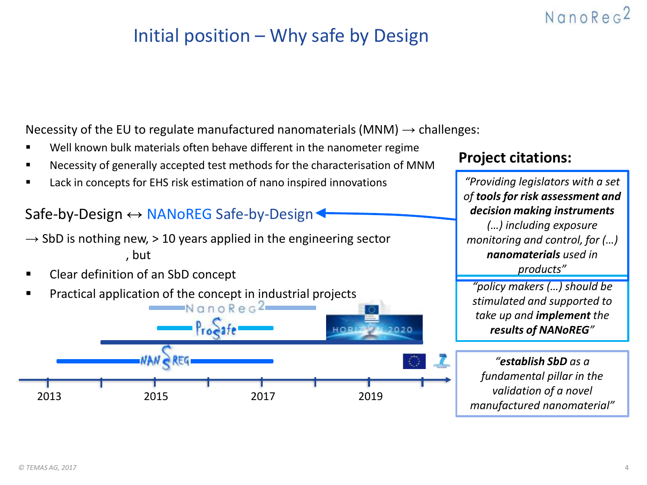### Initial position – Why safe by Design

Necessity of the EU to regulate manufactured nanomaterials (MNM)  $\rightarrow$  challenges:

- Well known bulk materials often behave different in the nanometer regime
- Necessity of generally accepted test methods for the characterisation of MNM
- Lack in concepts for EHS risk estimation of nano inspired innovations

#### Safe-by-Design ↔ NANoREG Safe-by-Design

- , but  $\rightarrow$  SbD is nothing new,  $>$  10 years applied in the engineering sector
- Clear definition of an SbD concept
- Practical application of the concept in industrial projects<br> $R \neq 2$



#### **Project citations:**

*"Providing legislators with a set of tools for risk assessment and decision making instruments (…) including exposure monitoring and control, for (…) nanomaterials used in products"*

NanoRec<sup>2</sup>

*"policy makers (…) should be stimulated and supported to take up and implement the results of NANoREG"*

*"establish SbD as a fundamental pillar in the validation of a novel manufactured nanomaterial"*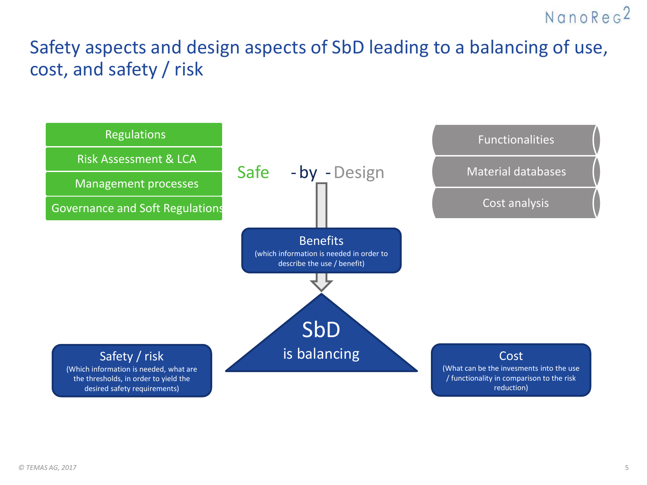### Safety aspects and design aspects of SbD leading to a balancing of use, cost, and safety / risk

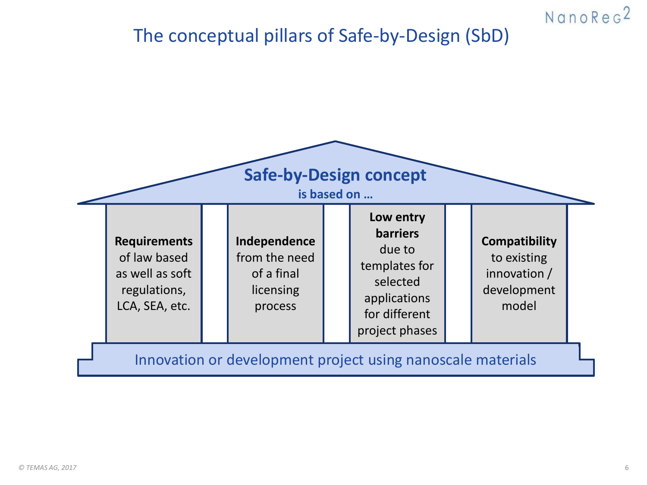### The conceptual pillars of Safe-by-Design (SbD)



NanoRec<sup>2</sup>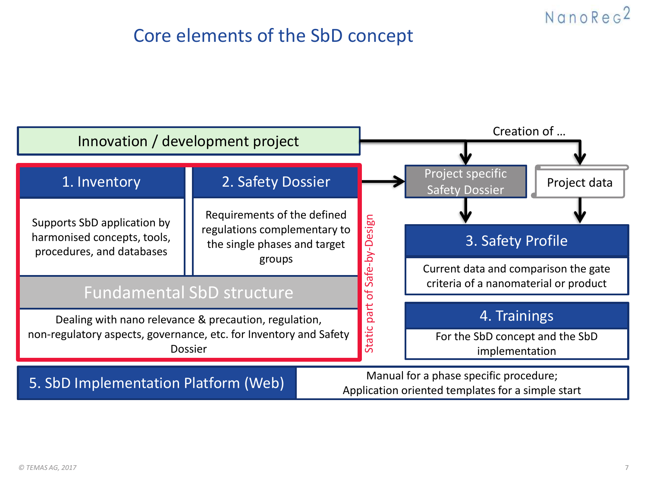### Core elements of the SbD concept

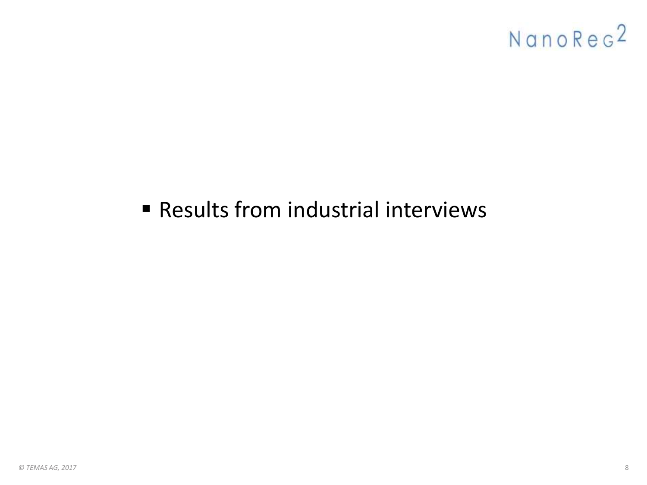## ■ Results from industrial interviews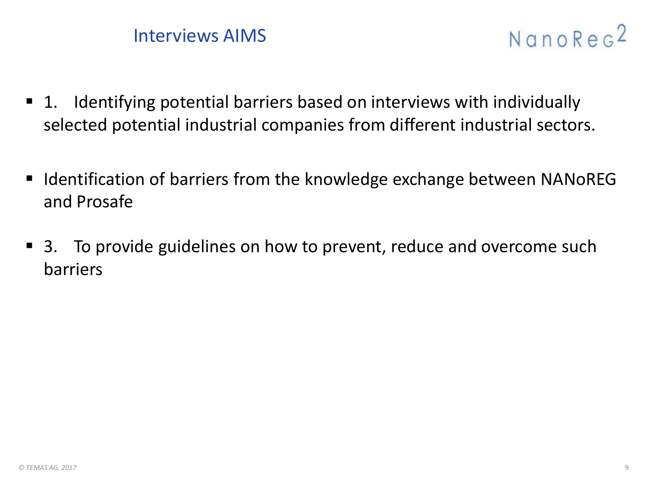



- 1. Identifying potential barriers based on interviews with individually selected potential industrial companies from different industrial sectors.
- Identification of barriers from the knowledge exchange between NANoREG and Prosafe
- 3. To provide guidelines on how to prevent, reduce and overcome such barriers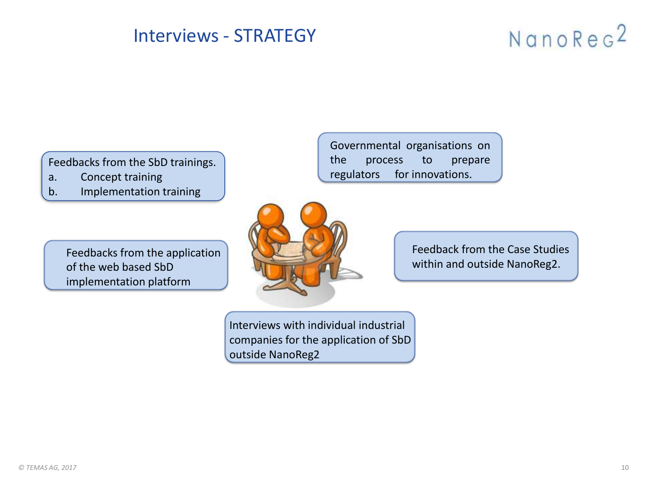### Interviews - STRATEGY

## NanoReg<sup>2</sup>

Feedbacks from the SbD trainings.

- a. Concept training
- b. Implementation training

Feedbacks from the application of the web based SbD implementation platform

Governmental organisations on the process to prepare regulators for innovations.



Interviews with individual industrial companies for the application of SbD outside NanoReg2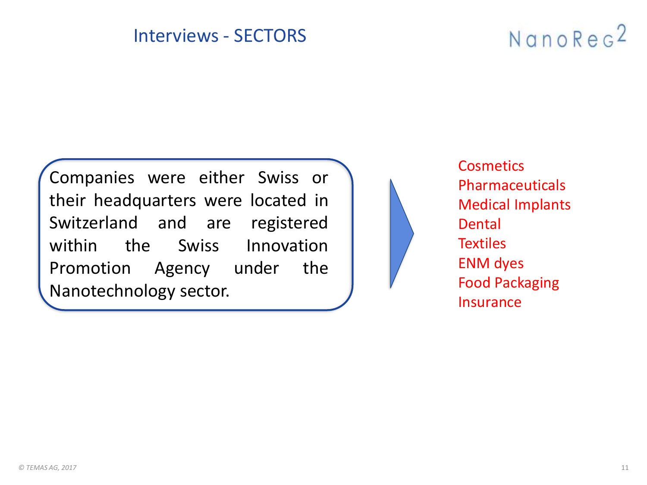#### Interviews - SECTORS

## NanoReg<sup>2</sup>

Companies were either Swiss or their headquarters were located in Switzerland and are registered within the Swiss Innovation Promotion Agency under the Nanotechnology sector.



**Cosmetics** Pharmaceuticals Medical Implants Dental **Textiles** ENM dyes Food Packaging **Insurance**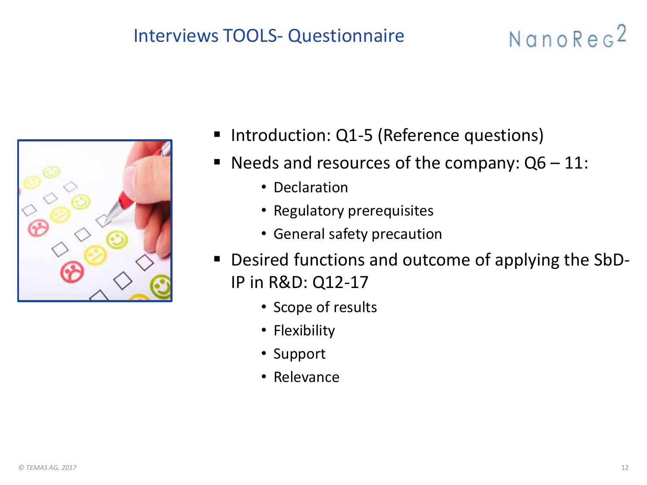### Interviews TOOLS- Questionnaire

- Introduction: Q1-5 (Reference questions)
- **Needs and resources of the company:**  $Q6 11$ **:** 
	- Declaration
	- Regulatory prerequisites
	- General safety precaution
- Desired functions and outcome of applying the SbD-IP in R&D: Q12-17
	- Scope of results
	- Flexibility
	- Support
	- Relevance

NanoReg<sup>2</sup>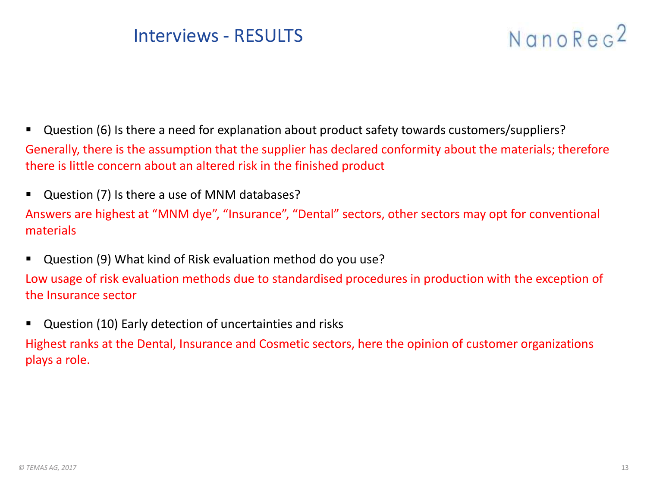#### Interviews - RESULTS

## NanoReg<sup>2</sup>

- Question (6) Is there a need for explanation about product safety towards customers/suppliers? Generally, there is the assumption that the supplier has declared conformity about the materials; therefore there is little concern about an altered risk in the finished product
- Question (7) Is there a use of MNM databases? Answers are highest at "MNM dye", "Insurance", "Dental" sectors, other sectors may opt for conventional materials
- Question (9) What kind of Risk evaluation method do you use?

Low usage of risk evaluation methods due to standardised procedures in production with the exception of the Insurance sector

■ Question (10) Early detection of uncertainties and risks Highest ranks at the Dental, Insurance and Cosmetic sectors, here the opinion of customer organizations plays a role.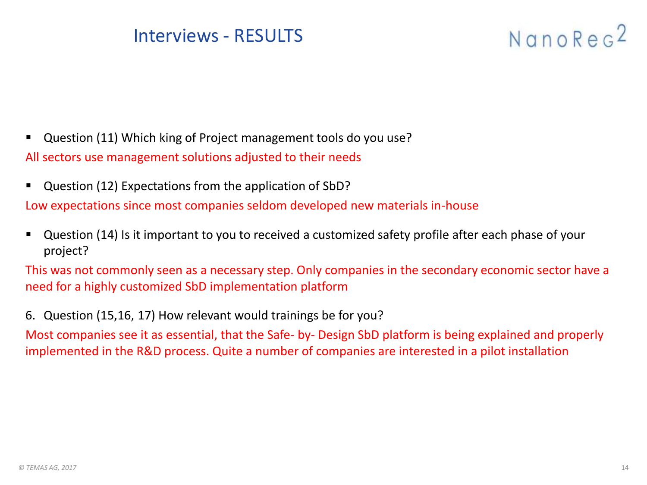#### Interviews - RESULTS

## NanoReg<sup>2</sup>

- Question (11) Which king of Project management tools do you use? All sectors use management solutions adjusted to their needs
- Question (12) Expectations from the application of SbD?

Low expectations since most companies seldom developed new materials in-house

Question (14) Is it important to you to received a customized safety profile after each phase of your project?

This was not commonly seen as a necessary step. Only companies in the secondary economic sector have a need for a highly customized SbD implementation platform

6. Question (15,16, 17) How relevant would trainings be for you?

Most companies see it as essential, that the Safe- by- Design SbD platform is being explained and properly implemented in the R&D process. Quite a number of companies are interested in a pilot installation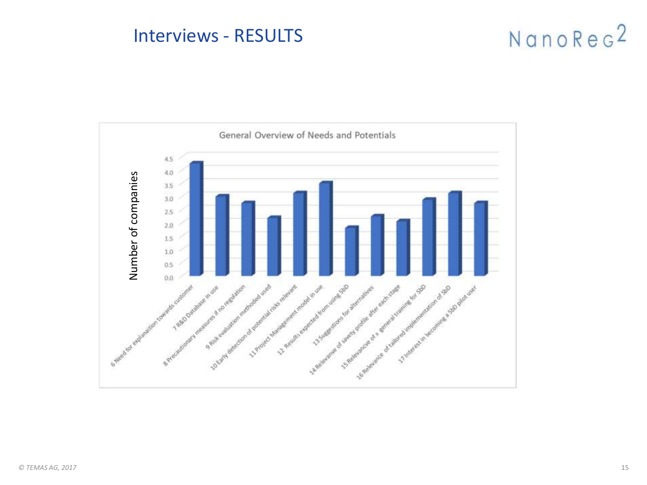#### Interviews - RESULTS

## NanoReg<sup>2</sup>

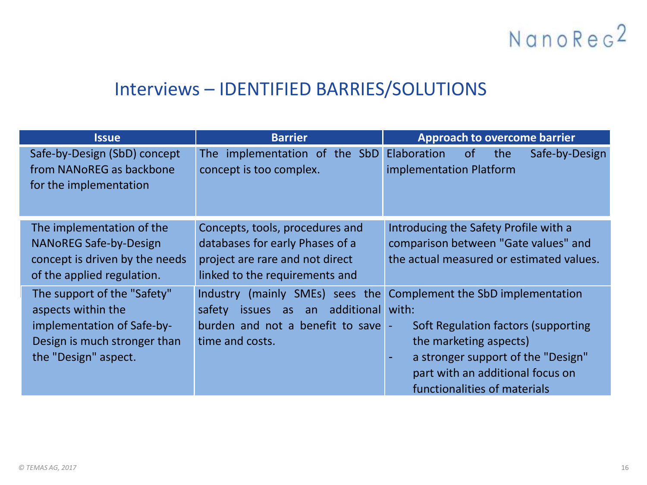### Interviews – IDENTIFIED BARRIES/SOLUTIONS

| <b>Issue</b>                                                                                                                            | <b>Barrier</b>                                                                                                                              | <b>Approach to overcome barrier</b>                                                                                                                                                                                        |
|-----------------------------------------------------------------------------------------------------------------------------------------|---------------------------------------------------------------------------------------------------------------------------------------------|----------------------------------------------------------------------------------------------------------------------------------------------------------------------------------------------------------------------------|
| Safe-by-Design (SbD) concept<br>from NANoREG as backbone<br>for the implementation                                                      | The implementation of the SbD<br>concept is too complex.                                                                                    | Elaboration<br>the<br>Safe-by-Design<br><sub>of</sub><br>implementation Platform                                                                                                                                           |
| The implementation of the<br><b>NANOREG Safe-by-Design</b><br>concept is driven by the needs<br>of the applied regulation.              | Concepts, tools, procedures and<br>databases for early Phases of a<br>project are rare and not direct<br>linked to the requirements and     | Introducing the Safety Profile with a<br>comparison between "Gate values" and<br>the actual measured or estimated values.                                                                                                  |
| The support of the "Safety"<br>aspects within the<br>implementation of Safe-by-<br>Design is much stronger than<br>the "Design" aspect. | Industry (mainly SMEs) sees the<br>additional<br>safety<br><i>issues</i><br>as<br>an<br>burden and not a benefit to save<br>time and costs. | Complement the SbD implementation<br>with:<br>Soft Regulation factors (supporting<br>the marketing aspects)<br>a stronger support of the "Design"<br>۰<br>part with an additional focus on<br>functionalities of materials |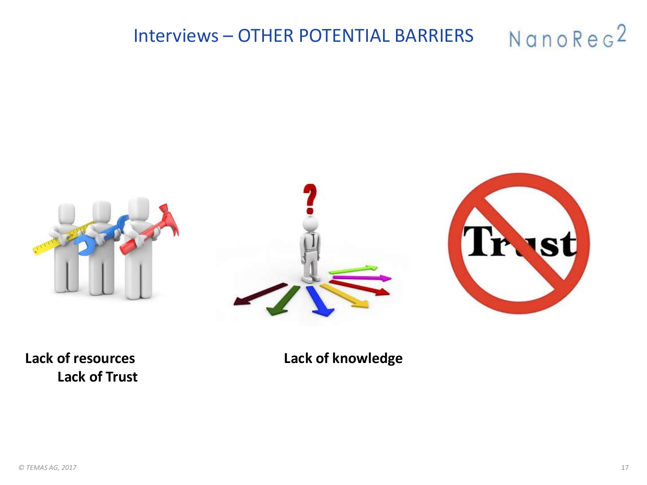#### NanoReg<sup>2</sup> Interviews – OTHER POTENTIAL BARRIERS







**Lack of Trust** 

**Lack of resources Lack of knowledge**